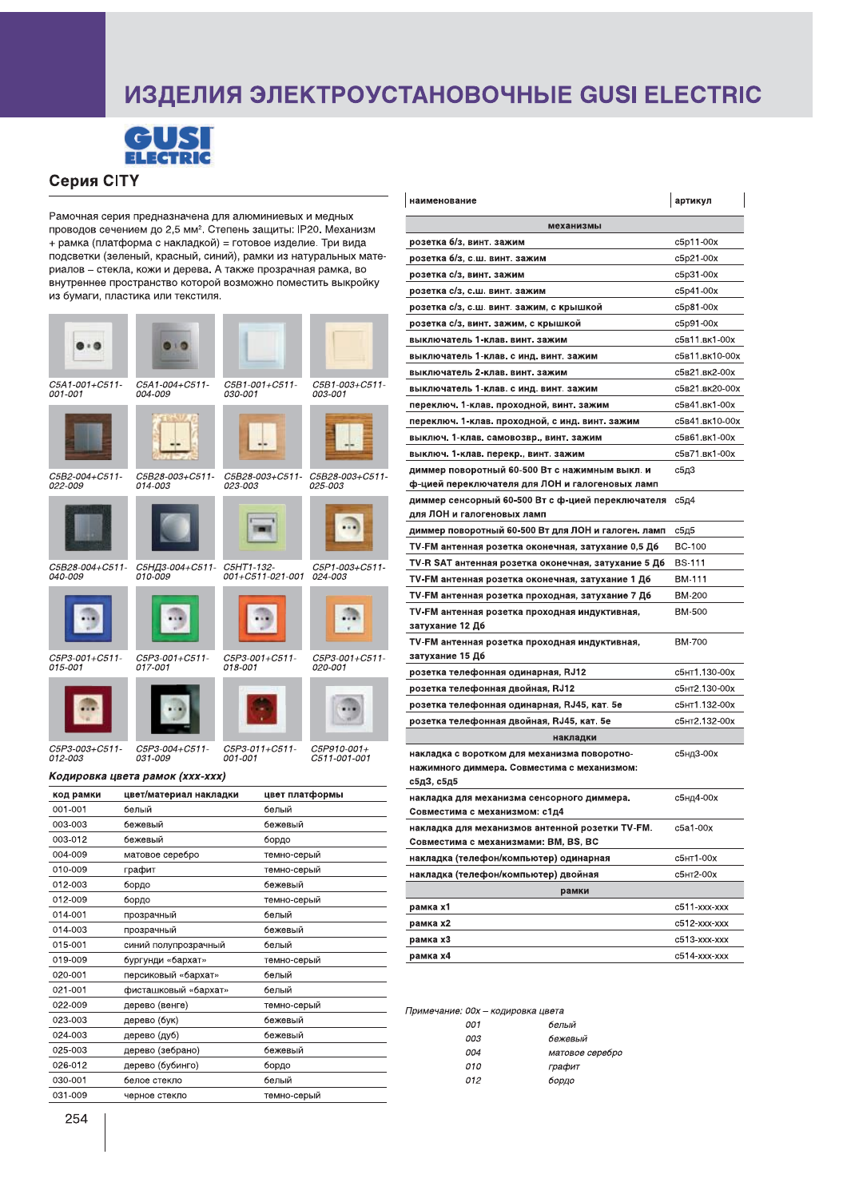## ИЗДЕЛИЯ ЭЛЕКТРОУСТАНОВОЧНЫЕ GUSI ELECTRIC



## Серия CITY

Рамочная серия предназначена для алюминиевых и медных проводов сечением до 2,5 мм<sup>2</sup>. Степень защиты: IP20. Механизм + рамка (платформа с накладкой) = готовое изделие. Три вида подсветки (зеленый, красный, синий), рамки из натуральных материалов - стекла, кожи и дерева. А также прозрачная рамка, во внутреннее пространство которой возможно поместить выкройку из бумаги, пластика или текстиля.

| C5A1-001+C511-<br>001-001        | 16<br>C5A1-004+C511-<br>004-009       | C5B1-001+C511-<br>030-001         | C5B1-003+C511-<br>003-001   |  |
|----------------------------------|---------------------------------------|-----------------------------------|-----------------------------|--|
|                                  |                                       |                                   |                             |  |
| C5B2-004+C511-<br>022-009        | C5B28-003+C511-<br>014-003            | C5B28-003+C511-<br><i>023-003</i> | C5B28-003+C511-<br>025-003  |  |
|                                  |                                       |                                   |                             |  |
| C5B28-004+C511-<br>040-009       | С5НД3-004+С511- С5НТ1-132-<br>010-009 | 001+C511-021-001                  | C5P1-003+C511-<br>024-003   |  |
|                                  |                                       |                                   |                             |  |
| C5P3-001+C511-<br>015-001        | C5P3-001+C511-<br>017-001             | C5P3-001+C511-<br>018-001         | C5P3-001+C511-<br>020-001   |  |
|                                  |                                       |                                   |                             |  |
| C5P3-003+C511-<br><i>012-003</i> | C5P3-004+C511-<br>031-009             | C5P3-011+C511-<br>001-001         | C5P910-001+<br>C511-001-001 |  |
|                                  | Кодировка цвета рамок (ххх-ххх)       |                                   |                             |  |
| код рамки                        | цвет/материал накладки                |                                   | цвет платформы              |  |
| 001-001                          | белый                                 | белый                             |                             |  |
| 003-003                          | бежевый                               | бежевый                           |                             |  |
| 003-012                          | бежевый                               | бордо                             |                             |  |
| 004-009                          | матовое серебро                       | темно-серый                       |                             |  |
| 010-009                          | графит                                | темно-серый                       |                             |  |
| 012-003                          | бордо                                 | бежевый                           |                             |  |
| 012-009                          | бордо                                 | темно-серый                       |                             |  |
| 014-001                          | прозрачный                            | белый                             |                             |  |
| 014-003                          | прозрачный                            | бежевый                           |                             |  |
| 015-001                          | синий полупрозрачный                  | белый                             |                             |  |
| 019-009                          | бургунди «бархат»                     |                                   | темно-серый                 |  |
| 020-001                          | персиковый «бархат»                   | белый                             |                             |  |
| 021-001                          | фисташковый «бархат»                  | белый                             |                             |  |
| 022-009                          | дерево (венге)                        |                                   | темно-серый                 |  |
| 023-003                          | дерево (бук)                          | бежевый                           |                             |  |

| наименование                                                                                | артикул        |  |  |  |
|---------------------------------------------------------------------------------------------|----------------|--|--|--|
| механизмы                                                                                   |                |  |  |  |
| розетка б/з, винт. зажим                                                                    | c5p11-00x      |  |  |  |
| розетка б/з, с.ш. винт. зажим                                                               | c5p21-00x      |  |  |  |
| розетка с/з, винт. зажим                                                                    | c5p31-00x      |  |  |  |
| розетка с/з, с.ш. винт. зажим                                                               | c5p41-00x      |  |  |  |
| розетка с/з, с.ш. винт. зажим, с крышкой                                                    | c5p81-00x      |  |  |  |
| розетка с/з, винт. зажим, с крышкой                                                         | c5p91-00x      |  |  |  |
| выключатель 1-клав. винт. зажим                                                             | с5в11.вк1-00х  |  |  |  |
| выключатель 1-клав. с инд. винт. зажим                                                      | с5в11.вк10-00х |  |  |  |
| выключатель 2-клав. винт. зажим                                                             | с5в21.вк2-00х  |  |  |  |
| выключатель 1-клав. с инд. винт. зажим                                                      | с5в21.вк20-00х |  |  |  |
| переключ. 1-клав. проходной, винт. зажим                                                    | с5в41.вк1-00х  |  |  |  |
| переключ. 1-клав. проходной, с инд. винт. зажим                                             | с5в41.вк10-00х |  |  |  |
| выключ. 1-клав. самовозвр., винт. зажим                                                     | с5в61.вк1-00х  |  |  |  |
| выключ. 1-клав. перекр., винт. зажим                                                        | с5в71.вк1-00х  |  |  |  |
| диммер поворотный 60-500 Вт с нажимным выкл. и                                              | с5д3           |  |  |  |
| ф-цией переключателя для ЛОН и галогеновых ламп                                             |                |  |  |  |
| диммер сенсорный 60-500 Вт с ф-цией переключателя                                           | с5д4           |  |  |  |
| для ЛОН и галогеновых ламп                                                                  |                |  |  |  |
| диммер поворотный 60-500 Вт для ЛОН и галоген. ламп                                         | <b>с5д5</b>    |  |  |  |
| TV-FM антенная розетка оконечная, затухание 0,5 Дб                                          | <b>BC-100</b>  |  |  |  |
| TV-R SAT антенная розетка оконечная, затухание 5 Дб                                         | BS-111         |  |  |  |
| ТV-FM антенная розетка оконечная, затухание 1 Дб                                            | <b>BM-111</b>  |  |  |  |
| TV-FM антенная розетка проходная, затухание 7 Дб                                            | BM-200         |  |  |  |
| TV-FM антенная розетка проходная индуктивная,                                               | <b>BM-500</b>  |  |  |  |
| затухание 12 Дб                                                                             |                |  |  |  |
| TV-FM антенная розетка проходная индуктивная,                                               | <b>BM-700</b>  |  |  |  |
| затухание 15 Дб                                                                             |                |  |  |  |
| розетка телефонная одинарная, RJ12                                                          | с5нт1.130-00х  |  |  |  |
| розетка телефонная двойная, RJ12                                                            | с5нт2.130-00х  |  |  |  |
| розетка телефонная одинарная, RJ45, кат. 5е                                                 | с5нт1.132-00х  |  |  |  |
| розетка телефонная двойная, RJ45, кат. 5e                                                   | с5нт2.132-00х  |  |  |  |
| накладки                                                                                    |                |  |  |  |
| накладка с воротком для механизма поворотно-<br>нажимного диммера. Совместима с механизмом: | с5нд3-00х      |  |  |  |
| с5д3, с5д5                                                                                  |                |  |  |  |
| накладка для механизма сенсорного диммера.<br>Совместима с механизмом: с1д4                 | с5нд4-00х      |  |  |  |
| накладка для механизмов антенной розетки TV-FM.<br>Совместима с механизмами: BM, BS, BC     | c5a1-00x       |  |  |  |
| накладка (телефон/компьютер) одинарная                                                      | с5нт1-00х      |  |  |  |
| накладка (телефон/компьютер) двойная                                                        | с5нт2-00х      |  |  |  |
| рамки                                                                                       |                |  |  |  |
| рамка х1                                                                                    | c511-xxx-xxx   |  |  |  |
| рамка х2                                                                                    | c512-xxx-xxx   |  |  |  |
| рамка х3                                                                                    | c513-xxx-xxx   |  |  |  |
| рамка х4                                                                                    | c514-xxx-xxx   |  |  |  |
|                                                                                             |                |  |  |  |

Примечание: 00х - кодировка цвета

| 001 | белый           |
|-----|-----------------|
| 003 | бежевый         |
| 004 | матовое серебро |
| 010 | графит          |
| 012 | бордо           |

 $024 - 003$ 

 $025 - 003$ 

 $026-012$ 

 $030 - 001$ 

031-009

дерево (дуб)

белое стекло

черное стекло

дерево (зебрано)

дерево (бубинго)

бежевый

бежевый

бордо

белый

темно-серый